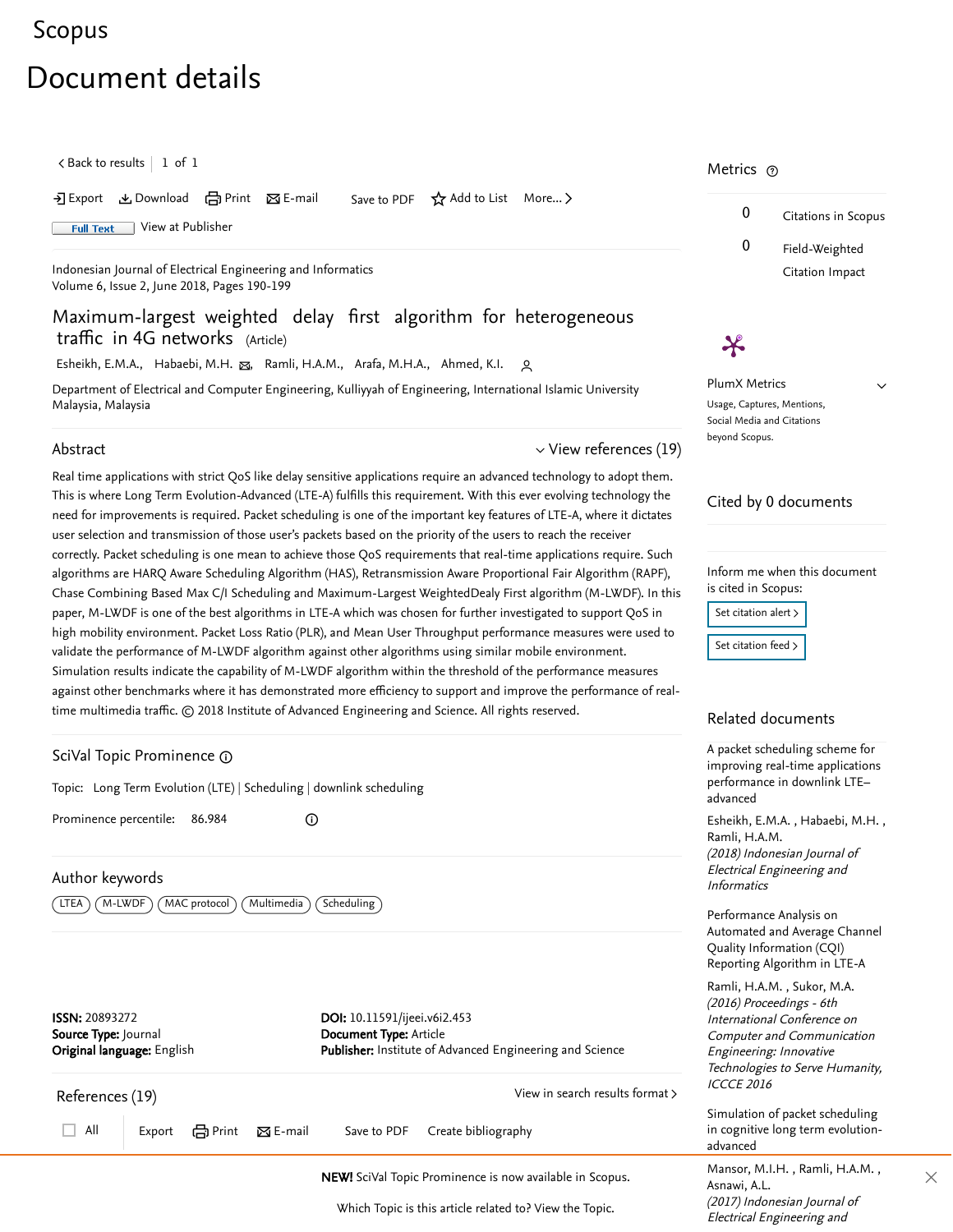# <span id="page-0-3"></span>[Scopus](https://www.scopus.com/home.uri?zone=header&origin=searchbasic)

# Document details

 $\zeta$  [Back to results](https://www.scopus.com/results/results.uri?sort=plf-f&src=s&st1=Maximum-largest+weighted+delay+first+algorithm+for+heterogeneous+traffic&st2=&sid=70b8b83896b740b7c0cb3caf6dfe3a1d&sot=b&sdt=b&sl=79&s=TITLE%28Maximum-largest+weighted+delay+first+algorithm+for+heterogeneous+traffic%29&offset=1&origin=recordpage)  $\vert$   $\;1\;$  of  $\;1$ 

 $\Sigma$  Export  $\Sigma$  Download  $\Box$  Print  $\Sigma$  E-mail Save to PDF  $\overleftrightarrow{\Lambda}$  Add to List More...

**Full Text** [View at Publisher](https://www.scopus.com/redirect/linking.uri?targetURL=https%3a%2f%2fdoi.org%2f10.11591%2fijeei.v6i2.453&locationID=1&categoryID=4&eid=2-s2.0-85050368319&issn=20893272&linkType=ViewAtPublisher&year=2018&origin=recordpage&dig=b19f96283a020c192ef677d885a83e4b&recordRank=)

[Indonesian Journal of Electrical Engineering and Informatics](https://www.scopus.com/sourceid/21100826383?origin=recordpage) Volume 6, Issue 2, June 2018, Pages 190-199

Maximum-largest weighted delay first algorithm for heterogeneous traffic in 4G networks (Article)

[Esheikh, E.M.A.](https://www.scopus.com/authid/detail.uri?authorId=57203042912&eid=2-s2.0-85050368319), [Habaebi, M.H.](https://www.scopus.com/authid/detail.uri?authorId=6602298043&eid=2-s2.0-85050368319) <sub>M.</sub> [Ramli, H.A.M.](https://www.scopus.com/authid/detail.uri?authorId=35410461900&eid=2-s2.0-85050368319), [Arafa, M.H.A.](https://www.scopus.com/authid/detail.uri?authorId=57198166900&eid=2-s2.0-85050368319), [Ahmed, K.I.](https://www.scopus.com/authid/detail.uri?authorId=57014297600&eid=2-s2.0-85050368319) ور

Department of Electrical and Computer Engineering, Kulliyyah of Engineering, International Islamic University Malaysia, Malaysia

# Abstract

<span id="page-0-2"></span> $\vee$  [View references \(19\)](#page-0-0)

Real time applications with strict QoS like delay sensitive applications require an advanced technology to adopt them. This is where Long Term Evolution-Advanced (LTE-A) fulfills this requirement. With this ever evolving technology the need for improvements is required. Packet scheduling is one of the important key features of LTE-A, where it dictates user selection and transmission of those user's packets based on the priority of the users to reach the receiver correctly. Packet scheduling is one mean to achieve those QoS requirements that real-time applications require. Such algorithms are HARQ Aware Scheduling Algorithm (HAS), Retransmission Aware Proportional Fair Algorithm (RAPF), Chase Combining Based Max C/I Scheduling and Maximum-Largest WeightedDealy First algorithm (M-LWDF). In this paper, M-LWDF is one of the best algorithms in LTE-A which was chosen for further investigated to support QoS in high mobility environment. Packet Loss Ratio (PLR), and Mean User Throughput performance measures were used to validate the performance of M-LWDF algorithm against other algorithms using similar mobile environment. Simulation results indicate the capability of M-LWDF algorithm within the threshold of the performance measures against other benchmarks where it has demonstrated more efficiency to support and improve the performance of realtime multimedia traffic. © 2018 Institute of Advanced Engineering and Science. All rights reserved.

# <span id="page-0-1"></span>SciVal Topic Prominence

Topic: Long Term Evolution (LTE) | Scheduling | downlink scheduling

⊙

Prominence percentile: 86.984

# Author keywords

( LTEA ) ( M-LWDF ) ( MAC protocol ) ( Multimedia ) ( Scheduling )

ISSN: 20893272 Source Type: Journal Original language: English DOI: 10.11591/ijeei.v6i2.453 Document Type: Article Publisher: Institute of Advanced Engineering and Science

<span id="page-0-0"></span>

# **NEW!** SciVal Topic Prominence is now available in Scopus. **ASHARE MATISOT, M.I.** [Asnawi, A.L.](https://www.scopus.com/authid/detail.uri?origin=recordpage&authorId=37861022300&zone=relatedDocuments)

Which Topic is this article related to? [View the Topic.](#page-0-1)

# Metrics  $\, \circ \,$

 $\boldsymbol{\varkappa}$ 



 $\checkmark$ 

PlumX Metrics Usage, Captures, Mentions, Social Media and Citations beyond Scopus.

# Cited by 0 documents

Inform me when this document is cited in Scopus:

Set citation alert > [Set citation feed](https://www.scopus.com/results/rss/handler.uri?citeEid=2-s2.0-85050368319) >

# Related documents

A packet scheduling scheme for [improving real-time applications](https://www.scopus.com/record/display.uri?origin=recordpage&zone=relatedDocuments&eid=2-s2.0-85050354183&citeCnt=0&noHighlight=false&sort=plf-f&src=s&st1=Maximum-largest+weighted+delay+first+algorithm+for+heterogeneous+traffic&st2=&sid=70b8b83896b740b7c0cb3caf6dfe3a1d&sot=b&sdt=b&sl=79&s=TITLE%28Maximum-largest+weighted+delay+first+algorithm+for+heterogeneous+traffic%29&relpos=0) performance in downlink LTE– advanced

Esheikh,E.M.A., Habaebi, M.H., (2018) Indonesian Journal of Electrical Engineering and **Informatics** [Ramli, H.A.M.](https://www.scopus.com/authid/detail.uri?origin=recordpage&authorId=35410461900&zone=relatedDocuments)

Performance Analysis on [Automated and Average Channel](https://www.scopus.com/record/display.uri?origin=recordpage&zone=relatedDocuments&eid=2-s2.0-85015088211&citeCnt=0&noHighlight=false&sort=plf-f&src=s&st1=Maximum-largest+weighted+delay+first+algorithm+for+heterogeneous+traffic&st2=&sid=70b8b83896b740b7c0cb3caf6dfe3a1d&sot=b&sdt=b&sl=79&s=TITLE%28Maximum-largest+weighted+delay+first+algorithm+for+heterogeneous+traffic%29&relpos=1) Quality Information (CQI) Reporting Algorithm in LTE-A

, [Ramli, H.A.M.](https://www.scopus.com/authid/detail.uri?origin=recordpage&authorId=35410461900&zone=relatedDocuments) [Sukor, M.A.](https://www.scopus.com/authid/detail.uri?origin=recordpage&authorId=57192977667&zone=relatedDocuments) (2016) Proceedings - 6th International Conference on Computer and Communication Engineering: Innovative Technologies to Serve Humanity, ICCCE 2016

Simulation of packet scheduling [in cognitive long term evolution](https://www.scopus.com/record/display.uri?origin=recordpage&zone=relatedDocuments&eid=2-s2.0-85037668336&citeCnt=0&noHighlight=false&sort=plf-f&src=s&st1=Maximum-largest+weighted+delay+first+algorithm+for+heterogeneous+traffic&st2=&sid=70b8b83896b740b7c0cb3caf6dfe3a1d&sot=b&sdt=b&sl=79&s=TITLE%28Maximum-largest+weighted+delay+first+algorithm+for+heterogeneous+traffic%29&relpos=2)advanced

Mansor,M.I.H. , Ramli, H.A.M. , (2017) Indonesian Journal of Electrical Engineering and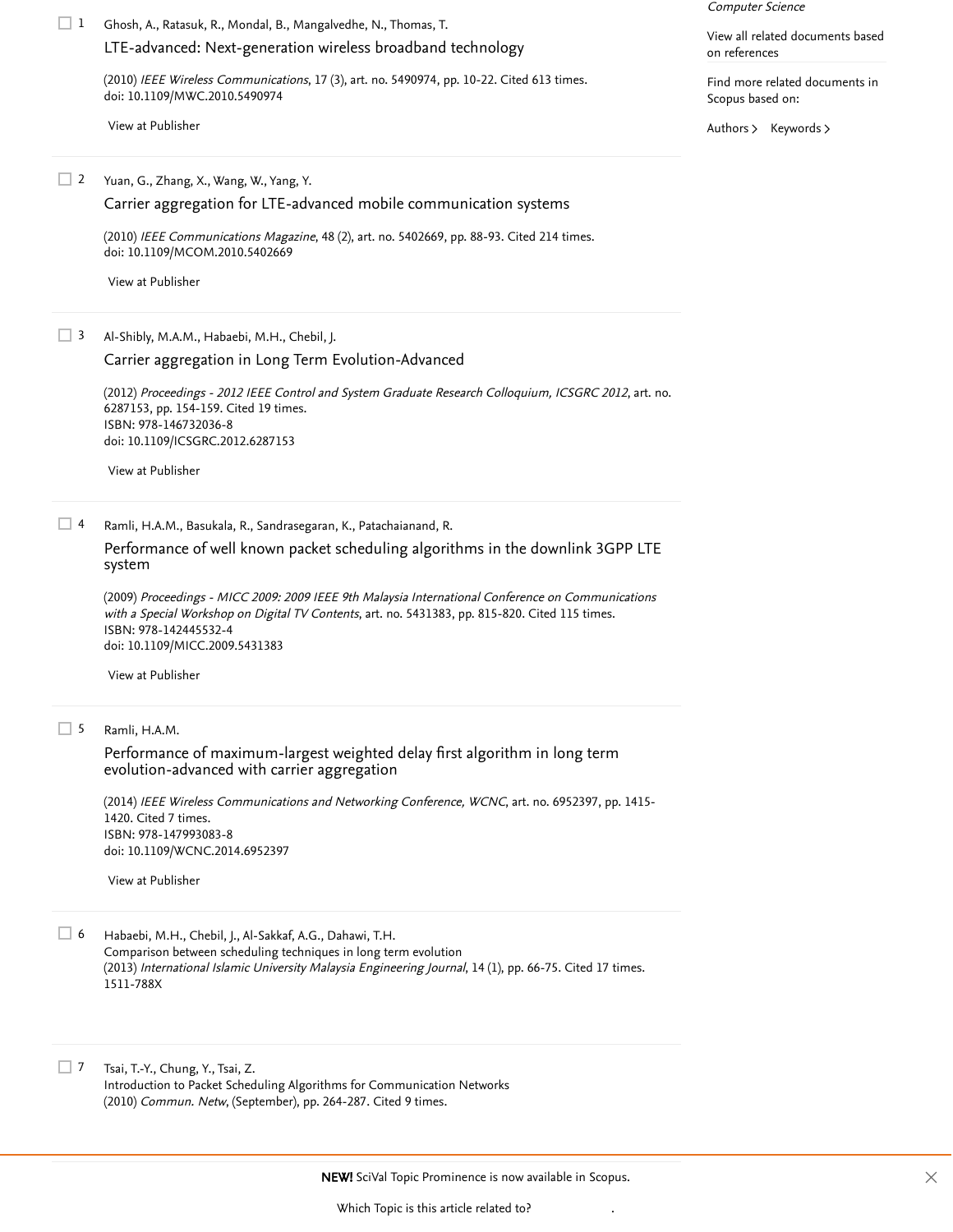Ghosh, A., Ratasuk, R., Mondal, B., Mangalvedhe, N., Thomas, T. 1

# [LTE-advanced: Next-generation wireless broadband technology](https://www.scopus.com/record/display.uri?eid=2-s2.0-77954208078&origin=reflist&sort=plf-f&src=s&st1=Maximum-largest+weighted+delay+first+algorithm+for+heterogeneous+traffic&st2=&sid=70b8b83896b740b7c0cb3caf6dfe3a1d&sot=b&sdt=b&sl=79&s=TITLE%28Maximum-largest+weighted+delay+first+algorithm+for+heterogeneous+traffic%29&recordRank=)

(2010) IEEE Wireless Communications, 17 (3), art. no. 5490974, pp. 10-22. [Cited 613 times](https://www.scopus.com/search/submit/citedby.uri?eid=2-s2.0-85050368319&refeid=2-s2.0-77954208078&src=s&origin=reflist&refstat=core). doi: 10.1109/MWC.2010.5490974

[View at Publisher](https://www.scopus.com/redirect/linking.uri?targetURL=https%3a%2f%2fdoi.org%2f10.1109%2fMWC.2010.5490974&locationID=3&categoryID=4&eid=2-s2.0-77954208078&issn=15361284&linkType=ViewAtPublisher&year=2010&origin=reflist&dig=d9e60a65f6db81c52318c6d635177005&recordRank=)

# Computer Science

[View all related documents based](https://www.scopus.com/search/submit/mlt.uri?eid=2-s2.0-85050368319&src=s&all=true&origin=recordpage&method=ref&zone=relatedDocuments) on references

Find more related documents in Scopus based on:

[Authors](https://www.scopus.com/search/submit/mlt.uri?eid=2-s2.0-85050368319&src=s&all=true&origin=recordpage&method=aut&zone=relatedDocuments) > [Keywords](https://www.scopus.com/search/submit/mlt.uri?eid=2-s2.0-85050368319&src=s&all=true&origin=recordpage&method=key&zone=relatedDocuments) >

#### Yuan, G., Zhang, X., Wang, W., Yang, Y.  $\Box$  2

[Carrier aggregation for LTE-advanced mobile communication systems](https://www.scopus.com/record/display.uri?eid=2-s2.0-76649085520&origin=reflist&sort=plf-f&src=s&st1=Maximum-largest+weighted+delay+first+algorithm+for+heterogeneous+traffic&st2=&sid=70b8b83896b740b7c0cb3caf6dfe3a1d&sot=b&sdt=b&sl=79&s=TITLE%28Maximum-largest+weighted+delay+first+algorithm+for+heterogeneous+traffic%29&recordRank=)

(2010) *IEEE Communications Magazine*, 48 (2), art. no. 5402669, pp. 88-93. [Cited 214 times](https://www.scopus.com/search/submit/citedby.uri?eid=2-s2.0-85050368319&refeid=2-s2.0-76649085520&src=s&origin=reflist&refstat=core). doi: 10.1109/MCOM.2010.5402669

[View at Publisher](https://www.scopus.com/redirect/linking.uri?targetURL=https%3a%2f%2fdoi.org%2f10.1109%2fMCOM.2010.5402669&locationID=3&categoryID=4&eid=2-s2.0-76649085520&issn=01636804&linkType=ViewAtPublisher&year=2010&origin=reflist&dig=9fa08027688f100adfe97a63def8993a&recordRank=)

#### Al-Shibly, M.A.M., Habaebi, M.H., Chebil, J.  $\Box$  3

### [Carrier aggregation in Long Term Evolution-Advanced](https://www.scopus.com/record/display.uri?eid=2-s2.0-84867365429&origin=reflist&sort=plf-f&src=s&st1=Maximum-largest+weighted+delay+first+algorithm+for+heterogeneous+traffic&st2=&sid=70b8b83896b740b7c0cb3caf6dfe3a1d&sot=b&sdt=b&sl=79&s=TITLE%28Maximum-largest+weighted+delay+first+algorithm+for+heterogeneous+traffic%29&recordRank=)

(2012) Proceedings - 2012 IEEE Control and System Graduate Research Colloquium, ICSGRC 2012, art. no. 6287153, pp. 154-159. [Cited 19 times](https://www.scopus.com/search/submit/citedby.uri?eid=2-s2.0-85050368319&refeid=2-s2.0-84867365429&src=s&origin=reflist&refstat=core). ISBN: 978-146732036-8 doi: 10.1109/ICSGRC.2012.6287153

[View at Publisher](https://www.scopus.com/redirect/linking.uri?targetURL=https%3a%2f%2fdoi.org%2f10.1109%2fICSGRC.2012.6287153&locationID=3&categoryID=4&eid=2-s2.0-84867365429&issn=&linkType=ViewAtPublisher&year=2012&origin=reflist&dig=7f628f75d072cee3d881f0b8ee95dfeb&recordRank=)

#### Ramli, H.A.M., Basukala, R., Sandrasegaran, K., Patachaianand, R.  $\Box$  4

### [Performance of well known packet scheduling algorithms in the downlink 3GPP LTE](https://www.scopus.com/record/display.uri?eid=2-s2.0-77952166370&origin=reflist&sort=plf-f&src=s&st1=Maximum-largest+weighted+delay+first+algorithm+for+heterogeneous+traffic&st2=&sid=70b8b83896b740b7c0cb3caf6dfe3a1d&sot=b&sdt=b&sl=79&s=TITLE%28Maximum-largest+weighted+delay+first+algorithm+for+heterogeneous+traffic%29&recordRank=) system

(2009) Proceedings - MICC 2009: 2009 IEEE 9th Malaysia International Conference on Communications with *a Special Workshop on Digital TV Contents*, art. no. 5431383, pp. 815-820. [Cited 115 times](https://www.scopus.com/search/submit/citedby.uri?eid=2-s2.0-85050368319&refeid=2-s2.0-77952166370&src=s&origin=reflist&refstat=core).<br>ISBN: 978-142445532-4<br>doi: 10.1109/MICC.2009.5431383<br>[View at Publisher](https://www.scopus.com/redirect/linking.uri?targetURL=https%3a%2f%2fdoi.org%2f10.1109%2fMICC.2009.5431383&locationID=3&categoryID=4&eid=2-s2.0-77952166370&issn=&linkType=ViewAtPublisher&year=2009&origin=reflist&dig=2928fe3bfb4941a0d1ae6a19c830d31f&recordRank=) ISBN: 978-142445532-4 doi: 10.1109/MICC.2009.5431383

#### Ramli, H.A.M.  $\Box$  5

# [Performance of maximum-largest weighted delay first algorithm in long term](https://www.scopus.com/record/display.uri?eid=2-s2.0-84912101460&origin=reflist&sort=plf-f&src=s&st1=Maximum-largest+weighted+delay+first+algorithm+for+heterogeneous+traffic&st2=&sid=70b8b83896b740b7c0cb3caf6dfe3a1d&sot=b&sdt=b&sl=79&s=TITLE%28Maximum-largest+weighted+delay+first+algorithm+for+heterogeneous+traffic%29&recordRank=) evolution-advanced with carrier aggregation

(2014) IEEE Wireless Communications and Networking Conference, WCNC, art. no. 6952397, pp. 1415- 1420. [Cited 7 times](https://www.scopus.com/search/submit/citedby.uri?eid=2-s2.0-85050368319&refeid=2-s2.0-84912101460&src=s&origin=reflist&refstat=core). ISBN: 978-147993083-8 doi: 10.1109/WCNC.2014.6952397

[View at Publisher](https://www.scopus.com/redirect/linking.uri?targetURL=https%3a%2f%2fdoi.org%2f10.1109%2fWCNC.2014.6952397&locationID=3&categoryID=4&eid=2-s2.0-84912101460&issn=15253511&linkType=ViewAtPublisher&year=2014&origin=reflist&dig=edfb308323b0f33bba5e5bbb4754dafa&recordRank=)

Habaebi, M.H., Chebil, J., Al-Sakkaf, A.G., Dahawi, T.H. Comparison between scheduling techniques in long term evolution (2013) *International Islamic University Malaysia Engineering Journal*, 14 (1), pp. 66-75. [Cited 17 times](https://www.scopus.com/search/submit/citedby.uri?eid=2-s2.0-85050368319&refeid=2-s2.0-84915764462&src=s&origin=reflist&refstat=dummy). 1511-788X  $\Box$  6

Tsai, T.-Y., Chung, Y., Tsai, Z. Introduction to Packet Scheduling Algorithms for Communication Networks (2010) *Commun. Netw*, (September), pp. 264-287. [Cited 9 times](https://www.scopus.com/search/submit/citedby.uri?eid=2-s2.0-85050368319&refeid=2-s2.0-84921282175&src=s&origin=reflist&refstat=dummy).  $\Box$  7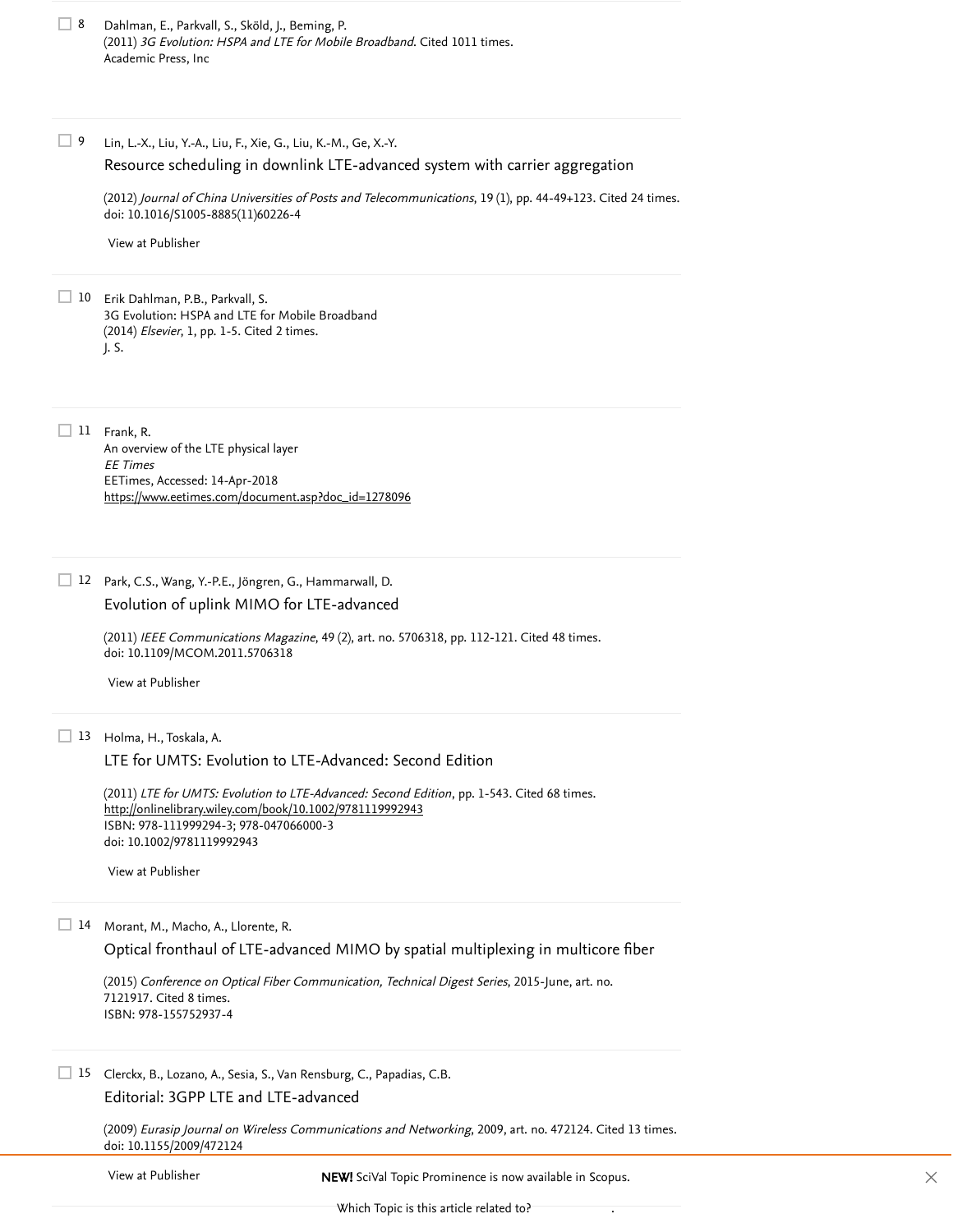| Dahlman, E., Parkvall, S., Sköld, J., Beming, P.                          |
|---------------------------------------------------------------------------|
| (2011) 3G Evolution: HSPA and LTE for Mobile Broadband. Cited 1011 times. |
| Academic Press, Inc                                                       |

Lin, L.-X., Liu, Y.-A., Liu, F., Xie, G., Liu, K.-M., Ge, X.-Y. 9

[Resource scheduling in downlink LTE-advanced system with carrier aggregation](https://www.scopus.com/record/display.uri?eid=2-s2.0-84863363643&origin=reflist&sort=plf-f&src=s&st1=Maximum-largest+weighted+delay+first+algorithm+for+heterogeneous+traffic&st2=&sid=70b8b83896b740b7c0cb3caf6dfe3a1d&sot=b&sdt=b&sl=79&s=TITLE%28Maximum-largest+weighted+delay+first+algorithm+for+heterogeneous+traffic%29&recordRank=)

(2012) *Journal of China Universities of Posts and Telecommunications*, 19 (1), pp. 44-49+123. [Cited 24 times](https://www.scopus.com/search/submit/citedby.uri?eid=2-s2.0-85050368319&refeid=2-s2.0-84863363643&src=s&origin=reflist&refstat=core). doi: 10.1016/S1005-8885(11)60226-4

[View at Publisher](https://www.scopus.com/redirect/linking.uri?targetURL=https%3a%2f%2fdoi.org%2f10.1016%2fS1005-8885%2811%2960226-4&locationID=3&categoryID=4&eid=2-s2.0-84863363643&issn=10058885&linkType=ViewAtPublisher&year=2012&origin=reflist&dig=db90625a7374d9531c4c4aad4bd195b3&recordRank=)

10 Erik Dahlman, P.B., Parkvall, S. 3G Evolution: HSPA and LTE for Mobile Broadband (2014) Elsevier, 1, pp. 1-5. Cited 2 times. J. S. (2014) *Elsevier*, 1, pp. 1-5. [Cited 2 times](https://www.scopus.com/search/submit/citedby.uri?eid=2-s2.0-85050368319&refeid=2-s2.0-85050351759&src=s&origin=reflist&refstat=dummy)<br>
J. S.<br>
11 Frank, R.

 $\Box$  11 Frank, R. An overview of the LTE physical layer EE Times EETimes, Accessed: 14-Apr-2018 [https://www.eetimes.com/document.asp?doc\\_id=1278096](https://www.eetimes.com/document.asp?doc_id=1278096)

Park, C.S., Wang, Y.-P.E., Jöngren, G., Hammarwall, D. 12

## [Evolution of uplink MIMO for LTE-advanced](https://www.scopus.com/record/display.uri?eid=2-s2.0-79951572754&origin=reflist&sort=plf-f&src=s&st1=Maximum-largest+weighted+delay+first+algorithm+for+heterogeneous+traffic&st2=&sid=70b8b83896b740b7c0cb3caf6dfe3a1d&sot=b&sdt=b&sl=79&s=TITLE%28Maximum-largest+weighted+delay+first+algorithm+for+heterogeneous+traffic%29&recordRank=)

(2011) *IEEE Communications Magazine*, 49 (2), art. no. 5706318, pp. 112-121. [Cited 48 times](https://www.scopus.com/search/submit/citedby.uri?eid=2-s2.0-85050368319&refeid=2-s2.0-79951572754&src=s&origin=reflist&refstat=core). doi: 10.1109/MCOM.2011.5706318

[View at Publisher](https://www.scopus.com/redirect/linking.uri?targetURL=https%3a%2f%2fdoi.org%2f10.1109%2fMCOM.2011.5706318&locationID=3&categoryID=4&eid=2-s2.0-79951572754&issn=01636804&linkType=ViewAtPublisher&year=2011&origin=reflist&dig=25fbc3c6a395c9a3153f66aabbd46572&recordRank=)

### 13 Holma, H., Toskala, A.

[LTE for UMTS: Evolution to LTE-Advanced: Second Edition](https://www.scopus.com/record/display.uri?eid=2-s2.0-84986903590&origin=reflist&sort=plf-f&src=s&st1=Maximum-largest+weighted+delay+first+algorithm+for+heterogeneous+traffic&st2=&sid=70b8b83896b740b7c0cb3caf6dfe3a1d&sot=b&sdt=b&sl=79&s=TITLE%28Maximum-largest+weighted+delay+first+algorithm+for+heterogeneous+traffic%29&recordRank=)

(2011) *LTE for UMTS: Evolution to LTE-Advanced: Second Edition*, pp. 1-543. [Cited 68 times](https://www.scopus.com/search/submit/citedby.uri?eid=2-s2.0-85050368319&refeid=2-s2.0-84986903590&src=s&origin=reflist&refstat=core). ISBN: 978-111999294-3; 978-047066000-3 doi: 10.1002/9781119992943 <http://onlinelibrary.wiley.com/book/10.1002/9781119992943>

[View at Publisher](https://www.scopus.com/redirect/linking.uri?targetURL=https%3a%2f%2fdoi.org%2f10.1002%2f9781119992943&locationID=3&categoryID=4&eid=2-s2.0-84986903590&issn=&linkType=ViewAtPublisher&year=2011&origin=reflist&dig=092dafbd46537560af76f10e3c179934&recordRank=)

14 Morant, M., Macho, A., Llorente, R.

[Optical fronthaul of LTE-advanced MIMO by spatial multiplexing in multicore fiber](https://www.scopus.com/record/display.uri?eid=2-s2.0-84945218893&origin=reflist&sort=plf-f&src=s&st1=Maximum-largest+weighted+delay+first+algorithm+for+heterogeneous+traffic&st2=&sid=70b8b83896b740b7c0cb3caf6dfe3a1d&sot=b&sdt=b&sl=79&s=TITLE%28Maximum-largest+weighted+delay+first+algorithm+for+heterogeneous+traffic%29&recordRank=)

(2015) Conference on Optical Fiber Communication, Technical Digest Series, 2015-June, art. no. 7121917. [Cited 8 times](https://www.scopus.com/search/submit/citedby.uri?eid=2-s2.0-85050368319&refeid=2-s2.0-84945218893&src=s&origin=reflist&refstat=core). ISBN: 978-155752937-4

# Clerckx, B., Lozano, A., Sesia, S., Van Rensburg, C., Papadias, C.B. 15 [Editorial: 3GPP LTE and LTE-advanced](https://www.scopus.com/record/display.uri?eid=2-s2.0-71149085538&origin=reflist&sort=plf-f&src=s&st1=Maximum-largest+weighted+delay+first+algorithm+for+heterogeneous+traffic&st2=&sid=70b8b83896b740b7c0cb3caf6dfe3a1d&sot=b&sdt=b&sl=79&s=TITLE%28Maximum-largest+weighted+delay+first+algorithm+for+heterogeneous+traffic%29&recordRank=)

(2009) *Eurasip Journal on Wireless Communications and Networking*, 2009, art. no. 472124. [Cited 13 times](https://www.scopus.com/search/submit/citedby.uri?eid=2-s2.0-85050368319&refeid=2-s2.0-71149085538&src=s&origin=reflist&refstat=core). doi: 10.1155/2009/472124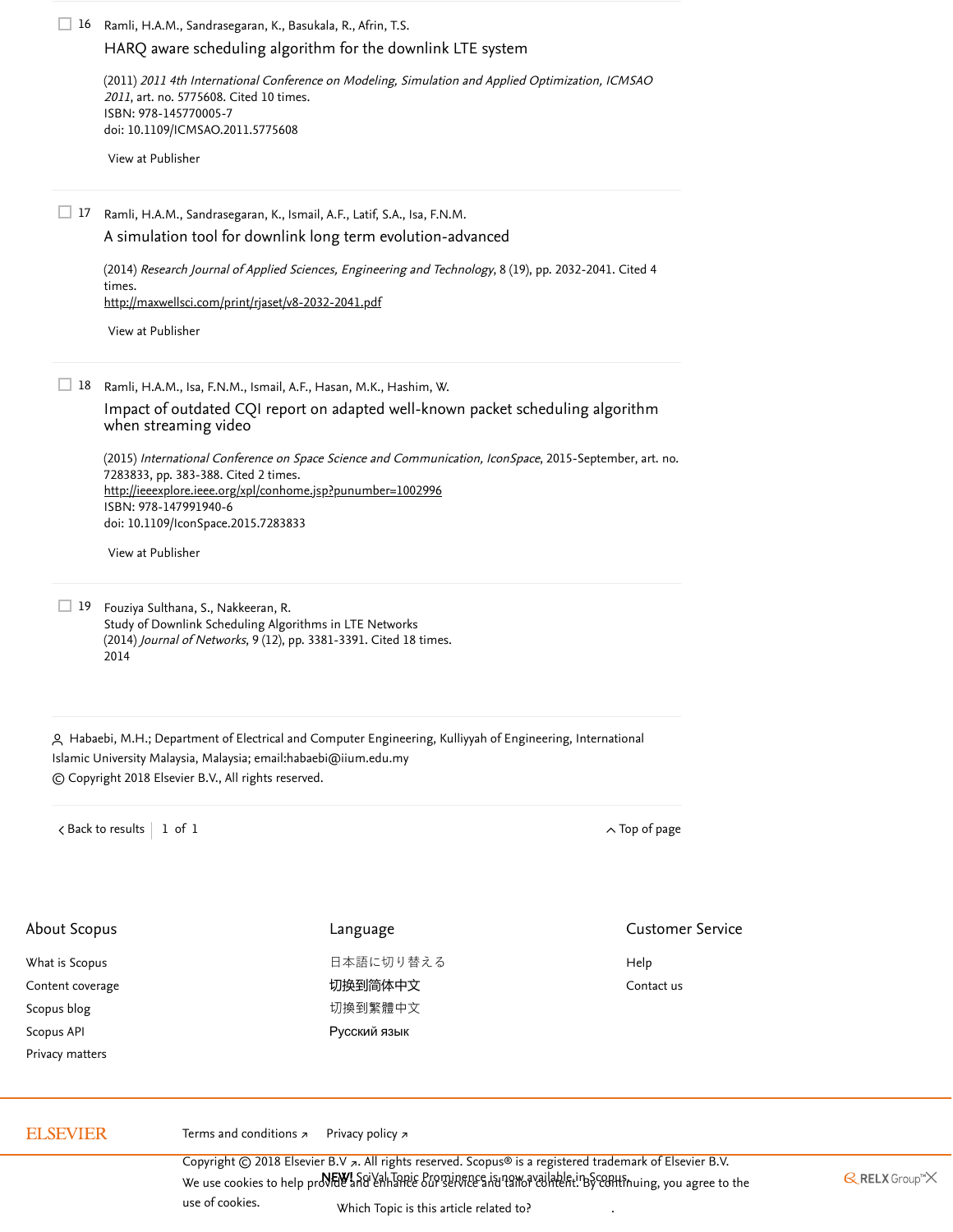Ramli, H.A.M., Sandrasegaran, K., Basukala, R., Afrin, T.S. 16 [HARQ aware scheduling algorithm for the downlink LTE system](https://www.scopus.com/record/display.uri?eid=2-s2.0-79959662298&origin=reflist&sort=plf-f&src=s&st1=Maximum-largest+weighted+delay+first+algorithm+for+heterogeneous+traffic&st2=&sid=70b8b83896b740b7c0cb3caf6dfe3a1d&sot=b&sdt=b&sl=79&s=TITLE%28Maximum-largest+weighted+delay+first+algorithm+for+heterogeneous+traffic%29&recordRank=)

(2011) 2011 4th International Conference on Modeling, Simulation and Applied Optimization, ICMSAO 2011, art. no. 5775608. [Cited 10 times](https://www.scopus.com/search/submit/citedby.uri?eid=2-s2.0-85050368319&refeid=2-s2.0-79959662298&src=s&origin=reflist&refstat=core). ISBN: 978-145770005-7 doi: 10.1109/ICMSAO.2011.5775608

[View at Publisher](https://www.scopus.com/redirect/linking.uri?targetURL=https%3a%2f%2fdoi.org%2f10.1109%2fICMSAO.2011.5775608&locationID=3&categoryID=4&eid=2-s2.0-79959662298&issn=&linkType=ViewAtPublisher&year=2011&origin=reflist&dig=591b07040fa53f36d908f7f475883eb4&recordRank=)

Ramli, H.A.M., Sandrasegaran, K., Ismail, A.F., Latif, S.A., Isa, F.N.M. 17

[A simulation tool for downlink long term evolution-advanced](https://www.scopus.com/record/display.uri?eid=2-s2.0-84924659050&origin=reflist&sort=plf-f&src=s&st1=Maximum-largest+weighted+delay+first+algorithm+for+heterogeneous+traffic&st2=&sid=70b8b83896b740b7c0cb3caf6dfe3a1d&sot=b&sdt=b&sl=79&s=TITLE%28Maximum-largest+weighted+delay+first+algorithm+for+heterogeneous+traffic%29&recordRank=)

(2014) [Research Journal of Applied Sciences, Engineering and Technology](https://www.scopus.com/search/submit/citedby.uri?eid=2-s2.0-85050368319&refeid=2-s2.0-84924659050&src=s&origin=reflist&refstat=core), 8 (19), pp. 2032-2041. Cited 4 . times <http://maxwellsci.com/print/rjaset/v8-2032-2041.pdf>

[View at Publisher](https://www.scopus.com/redirect/linking.uri?targetURL=http%3a%2f%2fdx.doi.org%2f10.19026%2frjaset.8.1195&locationID=3&categoryID=4&eid=2-s2.0-84924659050&issn=20407467&linkType=ViewAtPublisher&year=2014&origin=reflist&dig=e61db28b64e8854977854657698c2896&recordRank=)

Ramli, H.A.M., Isa, F.N.M., Ismail, A.F., Hasan, M.K., Hashim, W. 18

[Impact of outdated CQI report on adapted well-known packet scheduling algorithm](https://www.scopus.com/record/display.uri?eid=2-s2.0-84962507099&origin=reflist&sort=plf-f&src=s&st1=Maximum-largest+weighted+delay+first+algorithm+for+heterogeneous+traffic&st2=&sid=70b8b83896b740b7c0cb3caf6dfe3a1d&sot=b&sdt=b&sl=79&s=TITLE%28Maximum-largest+weighted+delay+first+algorithm+for+heterogeneous+traffic%29&recordRank=) when streaming video

(2015) International Conference on Space Science and Communication, IconSpace, 2015-September, art. no. 7283833, pp. 383-388. [Cited 2 times](https://www.scopus.com/search/submit/citedby.uri?eid=2-s2.0-85050368319&refeid=2-s2.0-84962507099&src=s&origin=reflist&refstat=core). ISBN: 978-147991940-6 doi: 10.1109/IconSpace.2015.7283833 <http://ieeexplore.ieee.org/xpl/conhome.jsp?punumber=1002996>

[View at Publisher](https://www.scopus.com/redirect/linking.uri?targetURL=https%3a%2f%2fdoi.org%2f10.1109%2fIconSpace.2015.7283833&locationID=3&categoryID=4&eid=2-s2.0-84962507099&issn=2165431X&linkType=ViewAtPublisher&year=2015&origin=reflist&dig=5665720d7133ef06f487e8871e5d5038&recordRank=)

19 Fouziya Sulthana, S., Nakkeeran, R. Study of Downlink Scheduling Algorithms in LTE Networks (2014) *Journal of Networks*, 9 (12), pp. 3381-3391. [Cited 18 times](https://www.scopus.com/search/submit/citedby.uri?eid=2-s2.0-85050368319&refeid=2-s2.0-84955321599&src=s&origin=reflist&refstat=dummy). 2014

<span id="page-3-0"></span> Habaebi, M.H.; Department of Electrical and Computer Engineering, Kulliyyah of Engineering, International Islamic University Malaysia, Malaysia; email: [habaebi@iium.edu.my](mailto:habaebi@iium.edu.my) © Copyright 2018 Elsevier B.V., All rights reserved.

 $\prec$  [Back to results](https://www.scopus.com/results/results.uri?sort=plf-f&src=s&st1=Maximum-largest+weighted+delay+first+algorithm+for+heterogeneous+traffic&st2=&sid=70b8b83896b740b7c0cb3caf6dfe3a1d&sot=b&sdt=b&sl=79&s=TITLE%28Maximum-largest+weighted+delay+first+algorithm+for+heterogeneous+traffic%29&offset=1&origin=recordpage)  $\vert$  1 of 1

| About Scopus     | Language     | <b>Customer Service</b> |
|------------------|--------------|-------------------------|
| What is Scopus   | 日本語に切り替える    | Help                    |
| Content coverage | 切换到简体中文      | Contact us              |
| Scopus blog      | 切換到繁體中文      |                         |
| Scopus API       | Русский язык |                         |
| Privacy matters  |              |                         |
|                  |              |                         |

# **ELSEVIER**

[Terms and conditions](https://www.elsevier.com/locate/termsandconditions) <sub>₹</sub> [Privacy policy](https://www.elsevier.com/locate/privacypolicy) ₹

.Copyright © 2018 Elsevier B.V a. All rights reserved. Scopus® is a registered trademark of Elsevier B.V We use cookies to help pro**VEW!** SgiVal Topic Prominence is now available in Scopus.<br>We use cookies to help proVide and enhance our service and tailor content. By continuing, you agree to the . [use of cookies](https://www.scopus.com/cookies/policy.uri)